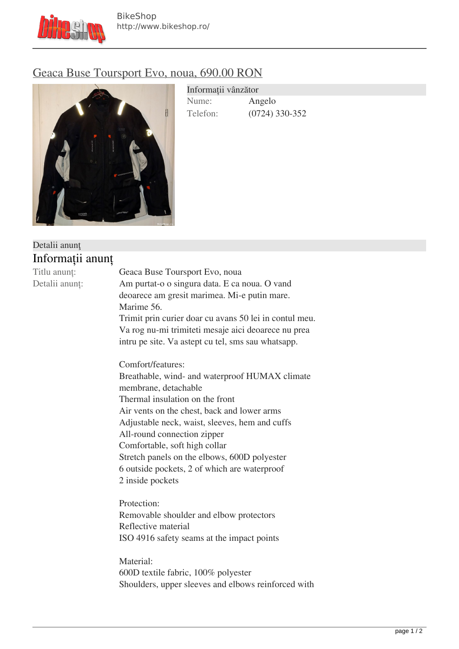

## [Geaca Buse Toursport Evo, noua, 690.00 RON](http://www.bikeshop.ro/echipament-moto/geci/geaca-buse-toursport-evo-noua-690-00-ron-580601.html)



| Informații vânzător |                  |
|---------------------|------------------|
| Nume:               | Angelo           |
| Telefon:            | $(0724)$ 330-352 |

| Detalii anunț    |                                                        |
|------------------|--------------------------------------------------------|
| Informații anunț |                                                        |
| Titlu anunț:     | Geaca Buse Toursport Evo, noua                         |
| Detalii anunț:   | Am purtat-o o singura data. E ca noua. O vand          |
|                  | deoarece am gresit marimea. Mi-e putin mare.           |
|                  | Marime 56.                                             |
|                  | Trimit prin curier doar cu avans 50 lei in contul meu. |
|                  | Va rog nu-mi trimiteti mesaje aici deoarece nu prea    |
|                  | intru pe site. Va astept cu tel, sms sau whatsapp.     |
|                  | Comfort/features:                                      |
|                  | Breathable, wind- and waterproof HUMAX climate         |
|                  | membrane, detachable                                   |
|                  | Thermal insulation on the front                        |
|                  | Air vents on the chest, back and lower arms            |
|                  | Adjustable neck, waist, sleeves, hem and cuffs         |
|                  | All-round connection zipper                            |
|                  | Comfortable, soft high collar                          |
|                  | Stretch panels on the elbows, 600D polyester           |
|                  | 6 outside pockets, 2 of which are waterproof           |
|                  | 2 inside pockets                                       |
|                  | Protection:                                            |
|                  | Removable shoulder and elbow protectors                |
|                  | Reflective material                                    |
|                  | ISO 4916 safety seams at the impact points             |
|                  | Material:                                              |
|                  | 600D textile fabric, 100% polyester                    |
|                  | Shoulders, upper sleeves and elbows reinforced with    |